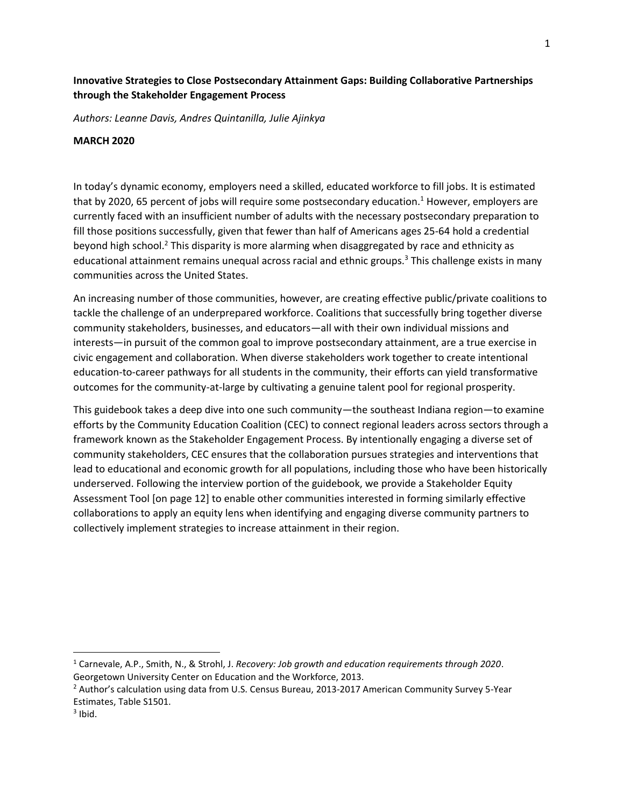# **Innovative Strategies to Close Postsecondary Attainment Gaps: Building Collaborative Partnerships through the Stakeholder Engagement Process**

*Authors: Leanne Davis, Andres Quintanilla, Julie Ajinkya*

#### **MARCH 2020**

In today's dynamic economy, employers need a skilled, educated workforce to fill jobs. It is estimated that by 2020, 65 percent of jobs will require some postsecondary education.<sup>1</sup> However, employers are currently faced with an insufficient number of adults with the necessary postsecondary preparation to fill those positions successfully, given that fewer than half of Americans ages 25-64 hold a credential beyond high school.<sup>2</sup> This disparity is more alarming when disaggregated by race and ethnicity as educational attainment remains unequal across racial and ethnic groups.<sup>3</sup> This challenge exists in many communities across the United States.

An increasing number of those communities, however, are creating effective public/private coalitions to tackle the challenge of an underprepared workforce. Coalitions that successfully bring together diverse community stakeholders, businesses, and educators—all with their own individual missions and interests—in pursuit of the common goal to improve postsecondary attainment, are a true exercise in civic engagement and collaboration. When diverse stakeholders work together to create intentional education-to-career pathways for all students in the community, their efforts can yield transformative outcomes for the community-at-large by cultivating a genuine talent pool for regional prosperity.

This guidebook takes a deep dive into one such community—the southeast Indiana region—to examine efforts by the Community Education Coalition (CEC) to connect regional leaders across sectors through a framework known as the Stakeholder Engagement Process. By intentionally engaging a diverse set of community stakeholders, CEC ensures that the collaboration pursues strategies and interventions that lead to educational and economic growth for all populations, including those who have been historically underserved. Following the interview portion of the guidebook, we provide a Stakeholder Equity Assessment Tool [on page 12] to enable other communities interested in forming similarly effective collaborations to apply an equity lens when identifying and engaging diverse community partners to collectively implement strategies to increase attainment in their region.

<sup>1</sup> Carnevale, A.P., Smith, N., & Strohl, J. *Recovery: Job growth and education requirements through 2020*. Georgetown University Center on Education and the Workforce, 2013.

<sup>&</sup>lt;sup>2</sup> Author's calculation using data from U.S. Census Bureau, 2013-2017 American Community Survey 5-Year Estimates, Table S1501.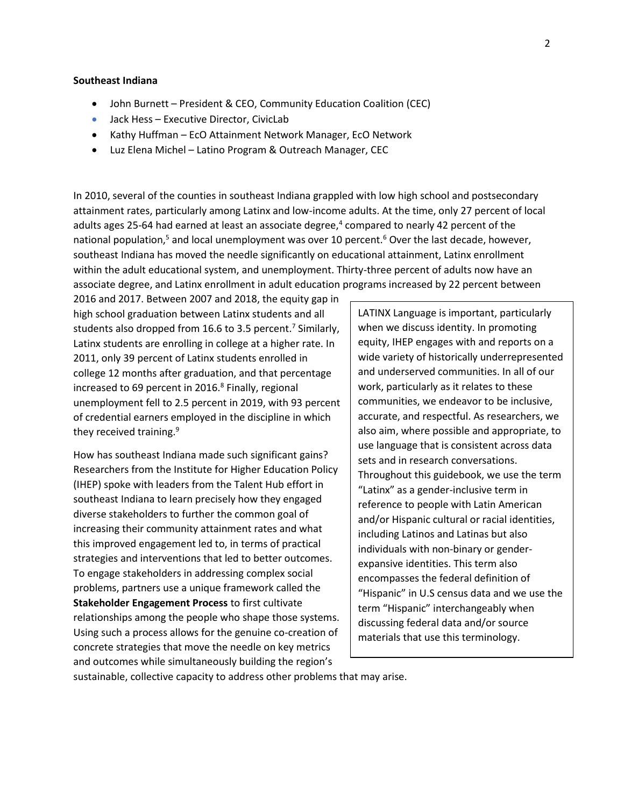#### **Southeast Indiana**

- John Burnett President & CEO, Community Education Coalition (CEC)
- Jack Hess Executive Director, CivicLab
- Kathy Huffman EcO Attainment Network Manager, EcO Network
- Luz Elena Michel Latino Program & Outreach Manager, CEC

In 2010, several of the counties in southeast Indiana grappled with low high school and postsecondary attainment rates, particularly among Latinx and low-income adults. At the time, only 27 percent of local adults ages 25-64 had earned at least an associate degree,<sup>4</sup> compared to nearly 42 percent of the national population,<sup>5</sup> and local unemployment was over 10 percent.<sup>6</sup> Over the last decade, however, southeast Indiana has moved the needle significantly on educational attainment, Latinx enrollment within the adult educational system, and unemployment. Thirty-three percent of adults now have an associate degree, and Latinx enrollment in adult education programs increased by 22 percent between

2016 and 2017. Between 2007 and 2018, the equity gap in high school graduation between Latinx students and all students also dropped from 16.6 to 3.5 percent.<sup>7</sup> Similarly, Latinx students are enrolling in college at a higher rate. In 2011, only 39 percent of Latinx students enrolled in college 12 months after graduation, and that percentage increased to 69 percent in 2016.<sup>8</sup> Finally, regional unemployment fell to 2.5 percent in 2019, with 93 percent of credential earners employed in the discipline in which they received training.<sup>9</sup>

How has southeast Indiana made such significant gains? Researchers from the Institute for Higher Education Policy (IHEP) spoke with leaders from the Talent Hub effort in southeast Indiana to learn precisely how they engaged diverse stakeholders to further the common goal of increasing their community attainment rates and what this improved engagement led to, in terms of practical strategies and interventions that led to better outcomes. To engage stakeholders in addressing complex social problems, partners use a unique framework called the **Stakeholder Engagement Process** to first cultivate relationships among the people who shape those systems. Using such a process allows for the genuine co-creation of concrete strategies that move the needle on key metrics and outcomes while simultaneously building the region's

LATINX Language is important, particularly when we discuss identity. In promoting equity, IHEP engages with and reports on a wide variety of historically underrepresented and underserved communities. In all of our work, particularly as it relates to these communities, we endeavor to be inclusive, accurate, and respectful. As researchers, we also aim, where possible and appropriate, to use language that is consistent across data sets and in research conversations. Throughout this guidebook, we use the term "Latinx" as a gender-inclusive term in reference to people with Latin American and/or Hispanic cultural or racial identities, including Latinos and Latinas but also individuals with non-binary or genderexpansive identities. This term also encompasses the federal definition of "Hispanic" in U.S census data and we use the term "Hispanic" interchangeably when discussing federal data and/or source materials that use this terminology.

sustainable, collective capacity to address other problems that may arise.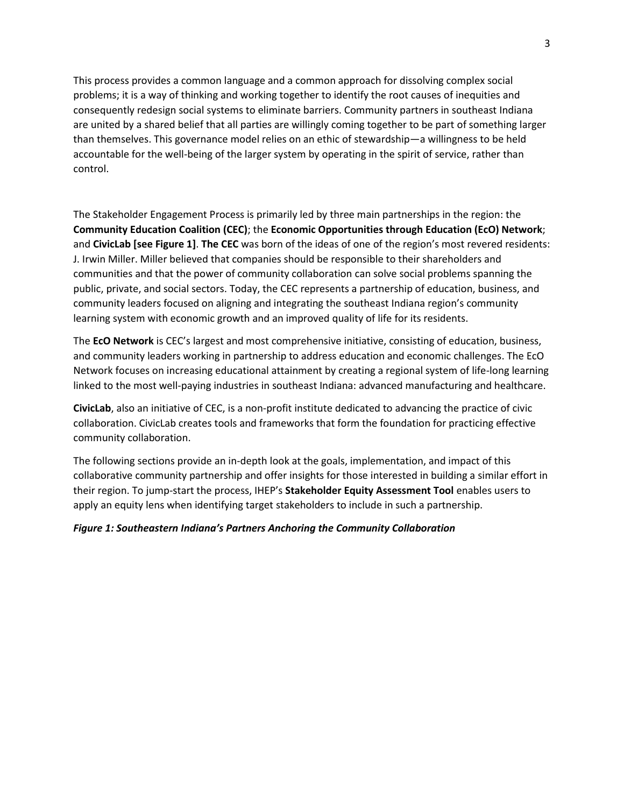This process provides a common language and a common approach for dissolving complex social problems; it is a way of thinking and working together to identify the root causes of inequities and consequently redesign social systems to eliminate barriers. Community partners in southeast Indiana are united by a shared belief that all parties are willingly coming together to be part of something larger than themselves. This governance model relies on an ethic of stewardship—a willingness to be held accountable for the well-being of the larger system by operating in the spirit of service, rather than control.

The Stakeholder Engagement Process is primarily led by three main partnerships in the region: the **Community Education Coalition (CEC)**; the **Economic Opportunities through Education (EcO) Network**; and **CivicLab [see Figure 1]**. **The CEC** was born of the ideas of one of the region's most revered residents: J. Irwin Miller. Miller believed that companies should be responsible to their shareholders and communities and that the power of community collaboration can solve social problems spanning the public, private, and social sectors. Today, the CEC represents a partnership of education, business, and community leaders focused on aligning and integrating the southeast Indiana region's community learning system with economic growth and an improved quality of life for its residents.

The **EcO Network** is CEC's largest and most comprehensive initiative, consisting of education, business, and community leaders working in partnership to address education and economic challenges. The EcO Network focuses on increasing educational attainment by creating a regional system of life-long learning linked to the most well-paying industries in southeast Indiana: advanced manufacturing and healthcare.

**CivicLab**, also an initiative of CEC, is a non-profit institute dedicated to advancing the practice of civic collaboration. CivicLab creates tools and frameworks that form the foundation for practicing effective community collaboration.

The following sections provide an in-depth look at the goals, implementation, and impact of this collaborative community partnership and offer insights for those interested in building a similar effort in their region. To jump-start the process, IHEP's **Stakeholder Equity Assessment Tool** enables users to apply an equity lens when identifying target stakeholders to include in such a partnership.

### *Figure 1: Southeastern Indiana's Partners Anchoring the Community Collaboration*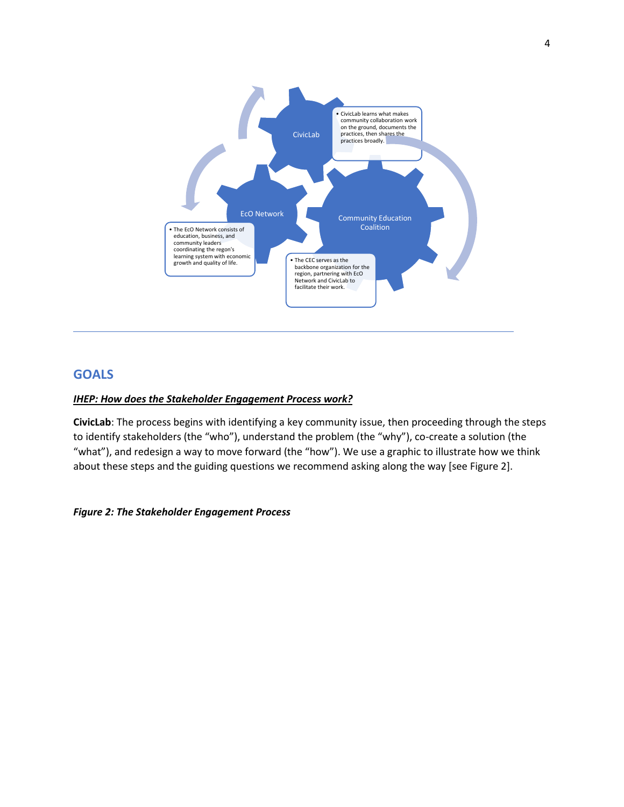

# **GOALS**

### *IHEP: How does the Stakeholder Engagement Process work?*

**CivicLab**: The process begins with identifying a key community issue, then proceeding through the steps to identify stakeholders (the "who"), understand the problem (the "why"), co-create a solution (the "what"), and redesign a way to move forward (the "how"). We use a graphic to illustrate how we think about these steps and the guiding questions we recommend asking along the way [see Figure 2].

### *Figure 2: The Stakeholder Engagement Process*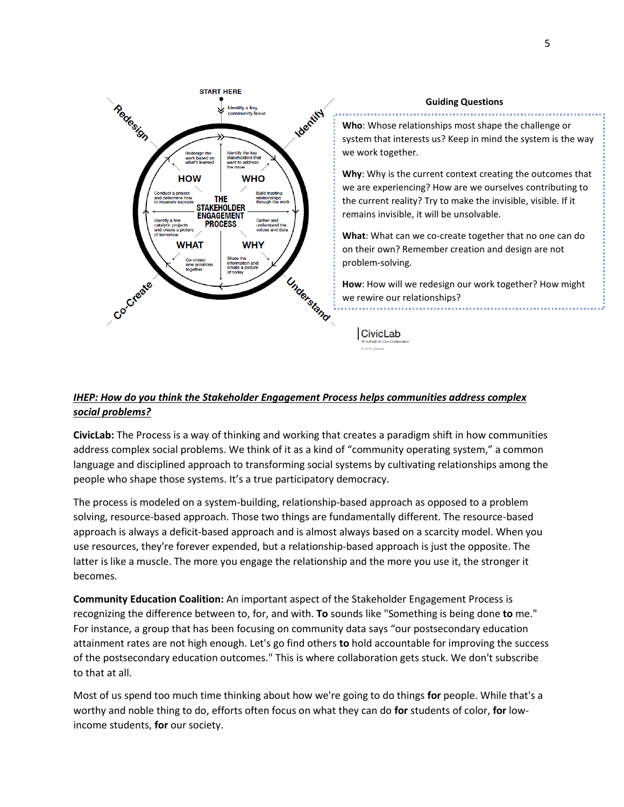

#### **Guiding Questions**

**Who**: Whose relationships most shape the challenge or system that interests us? Keep in mind the system is the way we work together.

**Why**: Why is the current context creating the outcomes that we are experiencing? How are we ourselves contributing to the current reality? Try to make the invisible, visible. If it remains invisible, it will be unsolvable.

**What**: What can we co-create together that no one can do on their own? Remember creation and design are not problem-solving.

**How**: How will we redesign our work together? How might we rewire our relationships?

**CivicLab** 

## *IHEP: How do you think the Stakeholder Engagement Process helps communities address complex social problems?*

**CivicLab:** The Process is a way of thinking and working that creates a paradigm shift in how communities address complex social problems. We think of it as a kind of "community operating system," a common language and disciplined approach to transforming social systems by cultivating relationships among the people who shape those systems. It's a true participatory democracy.

The process is modeled on a system-building, relationship-based approach as opposed to a problem solving, resource-based approach. Those two things are fundamentally different. The resource-based approach is always a deficit-based approach and is almost always based on a scarcity model. When you use resources, they're forever expended, but a relationship-based approach is just the opposite. The latter is like a muscle. The more you engage the relationship and the more you use it, the stronger it becomes.

**Community Education Coalition:** An important aspect of the Stakeholder Engagement Process is recognizing the difference between to, for, and with. **To** sounds like "Something is being done **to** me." For instance, a group that has been focusing on community data says "our postsecondary education attainment rates are not high enough. Let's go find others **to** hold accountable for improving the success of the postsecondary education outcomes." This is where collaboration gets stuck. We don't subscribe to that at all.

Most of us spend too much time thinking about how we're going to do things **for** people. While that's a worthy and noble thing to do, efforts often focus on what they can do **for** students of color, **for** lowincome students, **for** our society.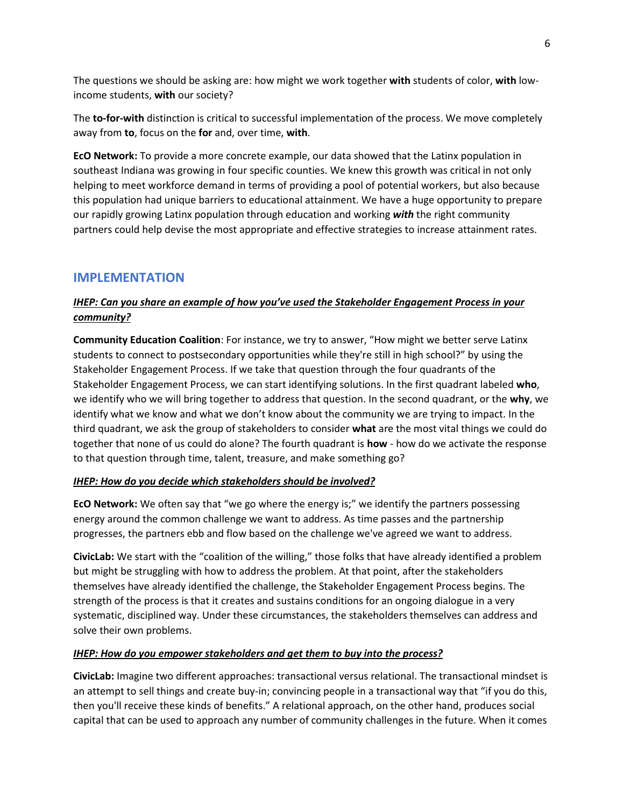The questions we should be asking are: how might we work together **with** students of color, **with** lowincome students, **with** our society?

The **to-for-with** distinction is critical to successful implementation of the process. We move completely away from **to**, focus on the **for** and, over time, **with**.

**EcO Network:** To provide a more concrete example, our data showed that the Latinx population in southeast Indiana was growing in four specific counties. We knew this growth was critical in not only helping to meet workforce demand in terms of providing a pool of potential workers, but also because this population had unique barriers to educational attainment. We have a huge opportunity to prepare our rapidly growing Latinx population through education and working *with* the right community partners could help devise the most appropriate and effective strategies to increase attainment rates.

# **IMPLEMENTATION**

# *IHEP: Can you share an example of how you've used the Stakeholder Engagement Process in your community?*

**Community Education Coalition**: For instance, we try to answer, "How might we better serve Latinx students to connect to postsecondary opportunities while they're still in high school?" by using the Stakeholder Engagement Process. If we take that question through the four quadrants of the Stakeholder Engagement Process, we can start identifying solutions. In the first quadrant labeled **who**, we identify who we will bring together to address that question. In the second quadrant, or the **why**, we identify what we know and what we don't know about the community we are trying to impact. In the third quadrant, we ask the group of stakeholders to consider **what** are the most vital things we could do together that none of us could do alone? The fourth quadrant is **how** - how do we activate the response to that question through time, talent, treasure, and make something go?

## *IHEP: How do you decide which stakeholders should be involved?*

**EcO Network:** We often say that "we go where the energy is;" we identify the partners possessing energy around the common challenge we want to address. As time passes and the partnership progresses, the partners ebb and flow based on the challenge we've agreed we want to address.

**CivicLab:** We start with the "coalition of the willing," those folks that have already identified a problem but might be struggling with how to address the problem. At that point, after the stakeholders themselves have already identified the challenge, the Stakeholder Engagement Process begins. The strength of the process is that it creates and sustains conditions for an ongoing dialogue in a very systematic, disciplined way. Under these circumstances, the stakeholders themselves can address and solve their own problems.

## *IHEP: How do you empower stakeholders and get them to buy into the process?*

**CivicLab:** Imagine two different approaches: transactional versus relational. The transactional mindset is an attempt to sell things and create buy-in; convincing people in a transactional way that "if you do this, then you'll receive these kinds of benefits." A relational approach, on the other hand, produces social capital that can be used to approach any number of community challenges in the future. When it comes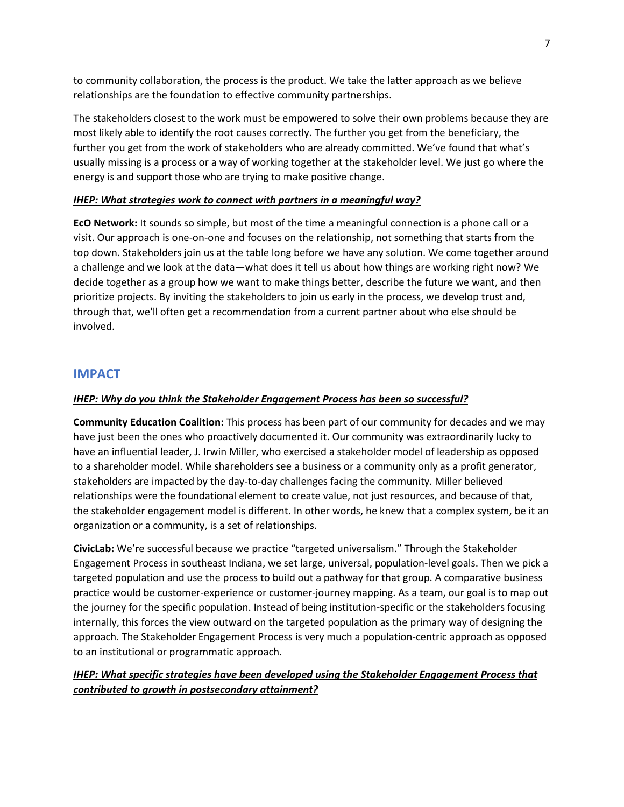to community collaboration, the process is the product. We take the latter approach as we believe relationships are the foundation to effective community partnerships.

The stakeholders closest to the work must be empowered to solve their own problems because they are most likely able to identify the root causes correctly. The further you get from the beneficiary, the further you get from the work of stakeholders who are already committed. We've found that what's usually missing is a process or a way of working together at the stakeholder level. We just go where the energy is and support those who are trying to make positive change.

### *IHEP: What strategies work to connect with partners in a meaningful way?*

**EcO Network:** It sounds so simple, but most of the time a meaningful connection is a phone call or a visit. Our approach is one-on-one and focuses on the relationship, not something that starts from the top down. Stakeholders join us at the table long before we have any solution. We come together around a challenge and we look at the data—what does it tell us about how things are working right now? We decide together as a group how we want to make things better, describe the future we want, and then prioritize projects. By inviting the stakeholders to join us early in the process, we develop trust and, through that, we'll often get a recommendation from a current partner about who else should be involved.

# **IMPACT**

### *IHEP: Why do you think the Stakeholder Engagement Process has been so successful?*

**Community Education Coalition:** This process has been part of our community for decades and we may have just been the ones who proactively documented it. Our community was extraordinarily lucky to have an influential leader, J. Irwin Miller, who exercised a stakeholder model of leadership as opposed to a shareholder model. While shareholders see a business or a community only as a profit generator, stakeholders are impacted by the day-to-day challenges facing the community. Miller believed relationships were the foundational element to create value, not just resources, and because of that, the stakeholder engagement model is different. In other words, he knew that a complex system, be it an organization or a community, is a set of relationships.

**CivicLab:** We're successful because we practice "targeted universalism." Through the Stakeholder Engagement Process in southeast Indiana, we set large, universal, population-level goals. Then we pick a targeted population and use the process to build out a pathway for that group. A comparative business practice would be customer-experience or customer-journey mapping. As a team, our goal is to map out the journey for the specific population. Instead of being institution-specific or the stakeholders focusing internally, this forces the view outward on the targeted population as the primary way of designing the approach. The Stakeholder Engagement Process is very much a population-centric approach as opposed to an institutional or programmatic approach.

# *IHEP: What specific strategies have been developed using the Stakeholder Engagement Process that contributed to growth in postsecondary attainment?*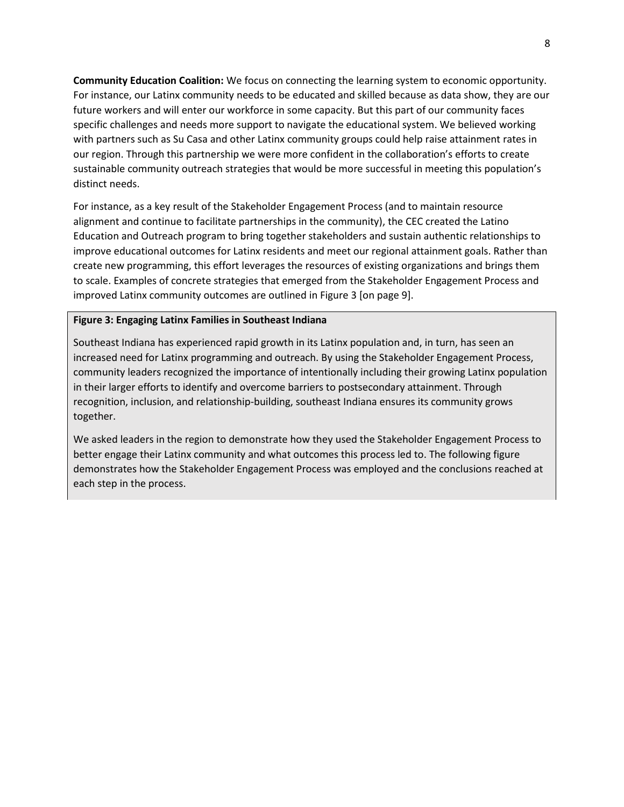**Community Education Coalition:** We focus on connecting the learning system to economic opportunity. For instance, our Latinx community needs to be educated and skilled because as data show, they are our future workers and will enter our workforce in some capacity. But this part of our community faces specific challenges and needs more support to navigate the educational system. We believed working with partners such as Su Casa and other Latinx community groups could help raise attainment rates in our region. Through this partnership we were more confident in the collaboration's efforts to create sustainable community outreach strategies that would be more successful in meeting this population's distinct needs.

For instance, as a key result of the Stakeholder Engagement Process (and to maintain resource alignment and continue to facilitate partnerships in the community), the CEC created the Latino Education and Outreach program to bring together stakeholders and sustain authentic relationships to improve educational outcomes for Latinx residents and meet our regional attainment goals. Rather than create new programming, this effort leverages the resources of existing organizations and brings them to scale. Examples of concrete strategies that emerged from the Stakeholder Engagement Process and improved Latinx community outcomes are outlined in Figure 3 [on page 9].

#### **Figure 3: Engaging Latinx Families in Southeast Indiana**

Southeast Indiana has experienced rapid growth in its Latinx population and, in turn, has seen an increased need for Latinx programming and outreach. By using the Stakeholder Engagement Process, community leaders recognized the importance of intentionally including their growing Latinx population in their larger efforts to identify and overcome barriers to postsecondary attainment. Through recognition, inclusion, and relationship-building, southeast Indiana ensures its community grows together.

We asked leaders in the region to demonstrate how they used the Stakeholder Engagement Process to better engage their Latinx community and what outcomes this process led to. The following figure demonstrates how the Stakeholder Engagement Process was employed and the conclusions reached at each step in the process.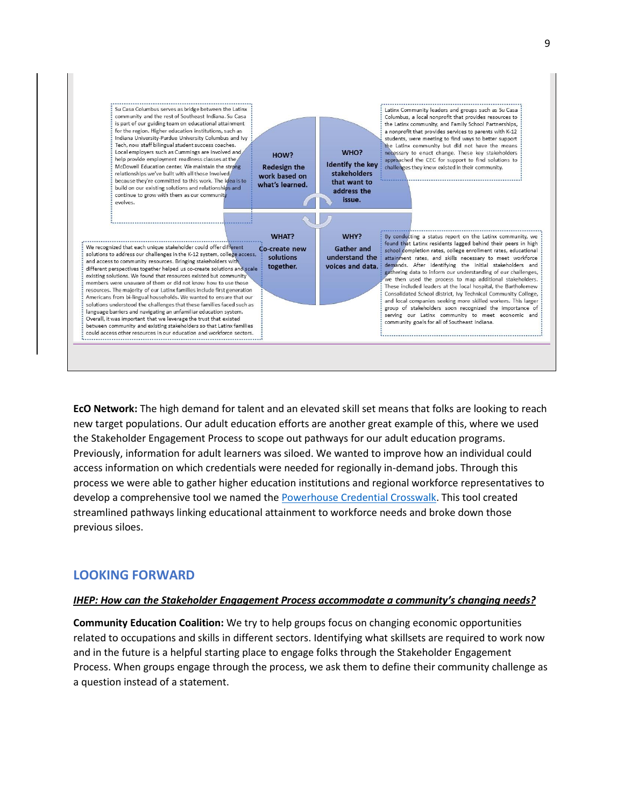

**EcO Network:** The high demand for talent and an elevated skill set means that folks are looking to reach new target populations. Our adult education efforts are another great example of this, where we used the Stakeholder Engagement Process to scope out pathways for our adult education programs. Previously, information for adult learners was siloed. We wanted to improve how an individual could access information on which credentials were needed for regionally in-demand jobs. Through this process we were able to gather higher education institutions and regional workforce representatives to develop a comprehensive tool we named the [Powerhouse Credential Crosswalk.](https://econetworks.org/wp-content/uploads/Powerhouse-Credential-Crosswalk-FINAL-PUBLIC-DISTRIBUTION-5_22_2018-PDF.pdf) This tool created streamlined pathways linking educational attainment to workforce needs and broke down those previous siloes.

# **LOOKING FORWARD**

### *IHEP: How can the Stakeholder Engagement Process accommodate a community's changing needs?*

**Community Education Coalition:** We try to help groups focus on changing economic opportunities related to occupations and skills in different sectors. Identifying what skillsets are required to work now and in the future is a helpful starting place to engage folks through the Stakeholder Engagement Process. When groups engage through the process, we ask them to define their community challenge as a question instead of a statement.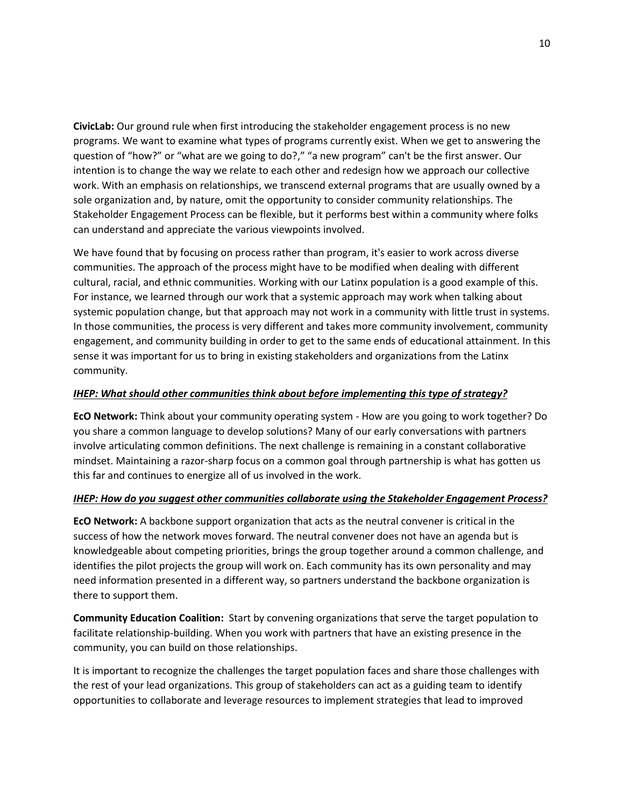**CivicLab:** Our ground rule when first introducing the stakeholder engagement process is no new programs. We want to examine what types of programs currently exist. When we get to answering the question of "how?" or "what are we going to do?," "a new program" can't be the first answer. Our intention is to change the way we relate to each other and redesign how we approach our collective work. With an emphasis on relationships, we transcend external programs that are usually owned by a sole organization and, by nature, omit the opportunity to consider community relationships. The Stakeholder Engagement Process can be flexible, but it performs best within a community where folks can understand and appreciate the various viewpoints involved.

We have found that by focusing on process rather than program, it's easier to work across diverse communities. The approach of the process might have to be modified when dealing with different cultural, racial, and ethnic communities. Working with our Latinx population is a good example of this. For instance, we learned through our work that a systemic approach may work when talking about systemic population change, but that approach may not work in a community with little trust in systems. In those communities, the process is very different and takes more community involvement, community engagement, and community building in order to get to the same ends of educational attainment. In this sense it was important for us to bring in existing stakeholders and organizations from the Latinx community.

### *IHEP: What should other communities think about before implementing this type of strategy?*

**EcO Network:** Think about your community operating system - How are you going to work together? Do you share a common language to develop solutions? Many of our early conversations with partners involve articulating common definitions. The next challenge is remaining in a constant collaborative mindset. Maintaining a razor-sharp focus on a common goal through partnership is what has gotten us this far and continues to energize all of us involved in the work.

## *IHEP: How do you suggest other communities collaborate using the Stakeholder Engagement Process?*

**EcO Network:** A backbone support organization that acts as the neutral convener is critical in the success of how the network moves forward. The neutral convener does not have an agenda but is knowledgeable about competing priorities, brings the group together around a common challenge, and identifies the pilot projects the group will work on. Each community has its own personality and may need information presented in a different way, so partners understand the backbone organization is there to support them.

**Community Education Coalition:** Start by convening organizations that serve the target population to facilitate relationship-building. When you work with partners that have an existing presence in the community, you can build on those relationships.

It is important to recognize the challenges the target population faces and share those challenges with the rest of your lead organizations. This group of stakeholders can act as a guiding team to identify opportunities to collaborate and leverage resources to implement strategies that lead to improved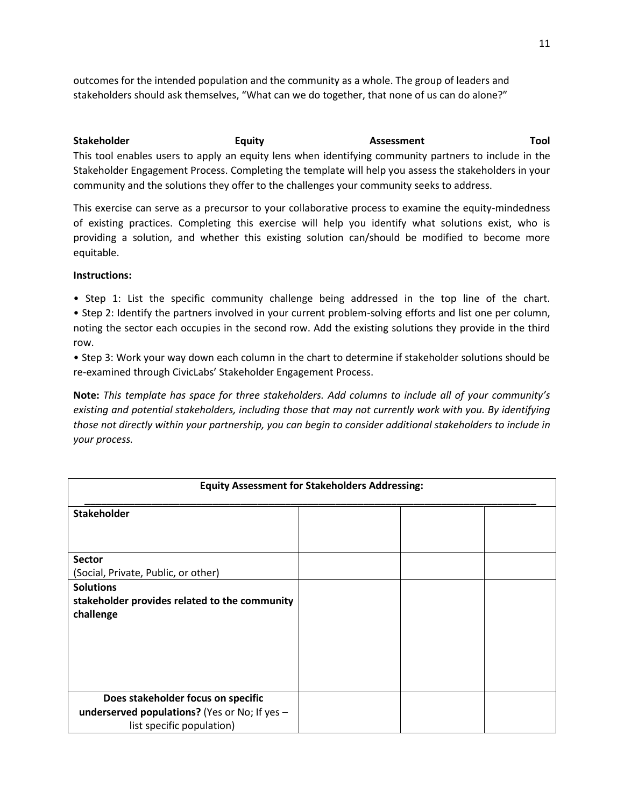outcomes for the intended population and the community as a whole. The group of leaders and stakeholders should ask themselves, "What can we do together, that none of us can do alone?"

**Stakeholder The Equity Construction Construction Construction Construction Construction Construction Construction** This tool enables users to apply an equity lens when identifying community partners to include in the Stakeholder Engagement Process. Completing the template will help you assess the stakeholders in your community and the solutions they offer to the challenges your community seeks to address.

This exercise can serve as a precursor to your collaborative process to examine the equity-mindedness of existing practices. Completing this exercise will help you identify what solutions exist, who is providing a solution, and whether this existing solution can/should be modified to become more equitable.

### **Instructions:**

• Step 1: List the specific community challenge being addressed in the top line of the chart. • Step 2: Identify the partners involved in your current problem-solving efforts and list one per column, noting the sector each occupies in the second row. Add the existing solutions they provide in the third row.

• Step 3: Work your way down each column in the chart to determine if stakeholder solutions should be re-examined through CivicLabs' Stakeholder Engagement Process.

**Note:** *This template has space for three stakeholders. Add columns to include all of your community's existing and potential stakeholders, including those that may not currently work with you. By identifying those not directly within your partnership, you can begin to consider additional stakeholders to include in your process.*

| <b>Equity Assessment for Stakeholders Addressing:</b> |  |  |  |  |
|-------------------------------------------------------|--|--|--|--|
| <b>Stakeholder</b>                                    |  |  |  |  |
|                                                       |  |  |  |  |
| <b>Sector</b>                                         |  |  |  |  |
| (Social, Private, Public, or other)                   |  |  |  |  |
| <b>Solutions</b>                                      |  |  |  |  |
| stakeholder provides related to the community         |  |  |  |  |
| challenge                                             |  |  |  |  |
|                                                       |  |  |  |  |
|                                                       |  |  |  |  |
|                                                       |  |  |  |  |
|                                                       |  |  |  |  |
|                                                       |  |  |  |  |
|                                                       |  |  |  |  |
| Does stakeholder focus on specific                    |  |  |  |  |
| underserved populations? (Yes or No; If yes -         |  |  |  |  |
| list specific population)                             |  |  |  |  |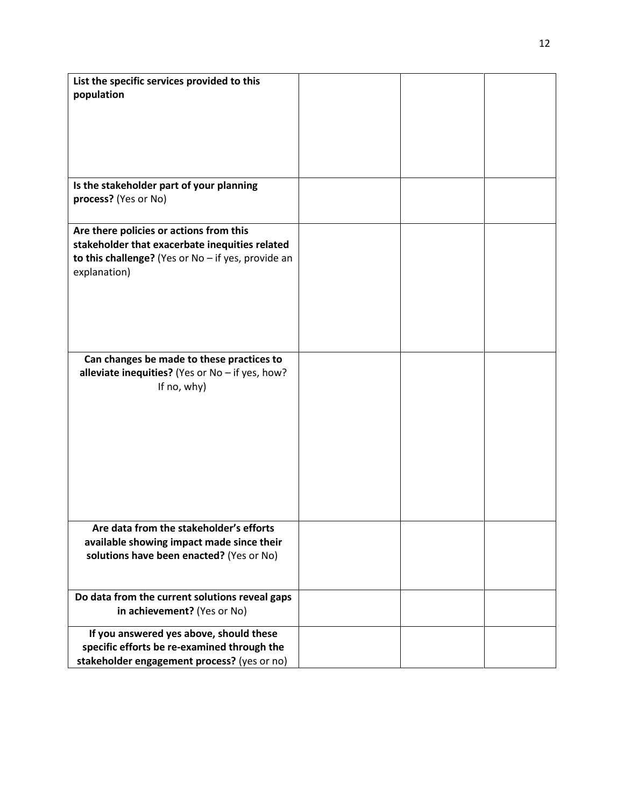| List the specific services provided to this          |  |  |
|------------------------------------------------------|--|--|
| population                                           |  |  |
|                                                      |  |  |
|                                                      |  |  |
|                                                      |  |  |
|                                                      |  |  |
|                                                      |  |  |
|                                                      |  |  |
|                                                      |  |  |
| Is the stakeholder part of your planning             |  |  |
| process? (Yes or No)                                 |  |  |
|                                                      |  |  |
|                                                      |  |  |
| Are there policies or actions from this              |  |  |
| stakeholder that exacerbate inequities related       |  |  |
| to this challenge? (Yes or $No$ - if yes, provide an |  |  |
| explanation)                                         |  |  |
|                                                      |  |  |
|                                                      |  |  |
|                                                      |  |  |
|                                                      |  |  |
|                                                      |  |  |
|                                                      |  |  |
| Can changes be made to these practices to            |  |  |
| alleviate inequities? (Yes or $No$ - if yes, how?    |  |  |
| If no, why)                                          |  |  |
|                                                      |  |  |
|                                                      |  |  |
|                                                      |  |  |
|                                                      |  |  |
|                                                      |  |  |
|                                                      |  |  |
|                                                      |  |  |
|                                                      |  |  |
|                                                      |  |  |
|                                                      |  |  |
|                                                      |  |  |
| Are data from the stakeholder's efforts              |  |  |
| available showing impact made since their            |  |  |
| solutions have been enacted? (Yes or No)             |  |  |
|                                                      |  |  |
|                                                      |  |  |
|                                                      |  |  |
| Do data from the current solutions reveal gaps       |  |  |
| in achievement? (Yes or No)                          |  |  |
|                                                      |  |  |
| If you answered yes above, should these              |  |  |
| specific efforts be re-examined through the          |  |  |
| stakeholder engagement process? (yes or no)          |  |  |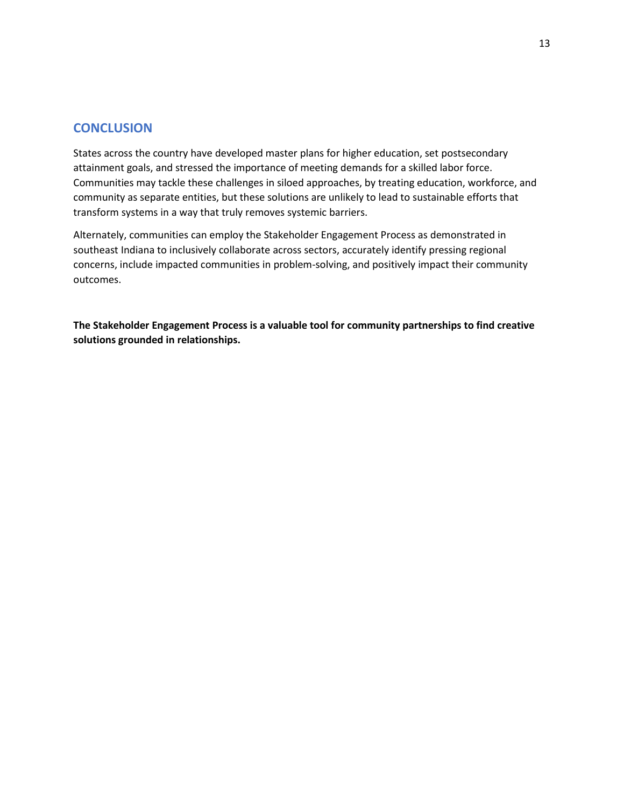### **CONCLUSION**

States across the country have developed master plans for higher education, set postsecondary attainment goals, and stressed the importance of meeting demands for a skilled labor force. Communities may tackle these challenges in siloed approaches, by treating education, workforce, and community as separate entities, but these solutions are unlikely to lead to sustainable efforts that transform systems in a way that truly removes systemic barriers.

Alternately, communities can employ the Stakeholder Engagement Process as demonstrated in southeast Indiana to inclusively collaborate across sectors, accurately identify pressing regional concerns, include impacted communities in problem-solving, and positively impact their community outcomes.

**The Stakeholder Engagement Process is a valuable tool for community partnerships to find creative solutions grounded in relationships.**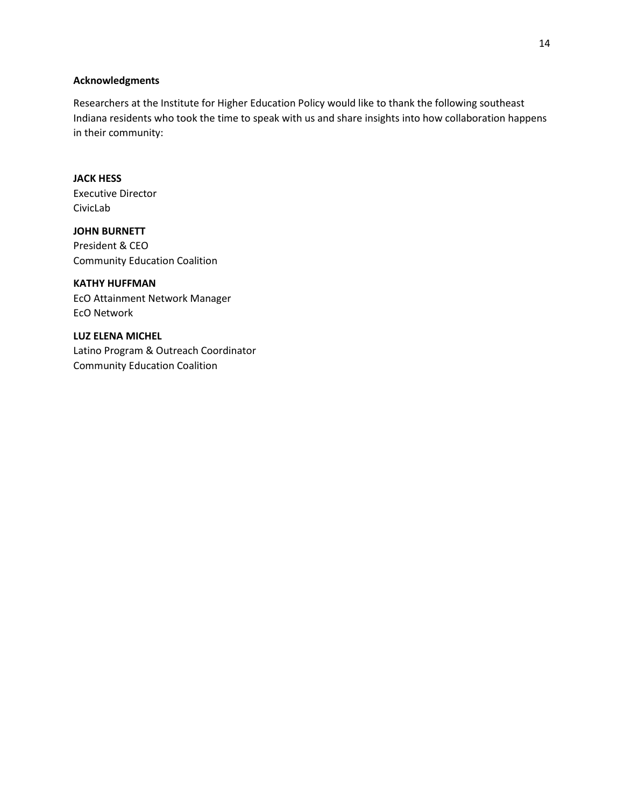#### **Acknowledgments**

Researchers at the Institute for Higher Education Policy would like to thank the following southeast Indiana residents who took the time to speak with us and share insights into how collaboration happens in their community:

# **JACK HESS**

Executive Director CivicLab

**JOHN BURNETT** President & CEO Community Education Coalition

### **KATHY HUFFMAN**

EcO Attainment Network Manager EcO Network

**LUZ ELENA MICHEL** Latino Program & Outreach Coordinator Community Education Coalition